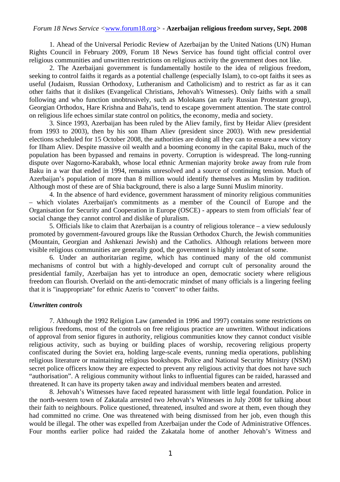1. Ahead of the Universal Periodic Review of Azerbaijan by the United Nations (UN) Human Rights Council in February 2009, Forum 18 News Service has found tight official control over religious communities and unwritten restrictions on religious activity the government does not like.

 2. The Azerbaijani government is fundamentally hostile to the idea of religious freedom, seeking to control faiths it regards as a potential challenge (especially Islam), to co-opt faiths it sees as useful (Judaism, Russian Orthodoxy, Lutheranism and Catholicism) and to restrict as far as it can other faiths that it dislikes (Evangelical Christians, Jehovah's Witnesses). Only faiths with a small following and who function unobtrusively, such as Molokans (an early Russian Protestant group), Georgian Orthodox, Hare Krishna and Baha'is, tend to escape government attention. The state control on religious life echoes similar state control on politics, the economy, media and society.

 3. Since 1993, Azerbaijan has been ruled by the Aliev family, first by Heidar Aliev (president from 1993 to 2003), then by his son Ilham Aliev (president since 2003). With new presidential elections scheduled for 15 October 2008, the authorities are doing all they can to ensure a new victory for Ilham Aliev. Despite massive oil wealth and a booming economy in the capital Baku, much of the population has been bypassed and remains in poverty. Corruption is widespread. The long-running dispute over Nagorno-Karabakh, whose local ethnic Armenian majority broke away from rule from Baku in a war that ended in 1994, remains unresolved and a source of continuing tension. Much of Azerbaijan's population of more than 8 million would identify themselves as Muslim by tradition. Although most of these are of Shia background, there is also a large Sunni Muslim minority.

 4. In the absence of hard evidence, government harassment of minority religious communities – which violates Azerbaijan's commitments as a member of the Council of Europe and the Organisation for Security and Cooperation in Europe (OSCE) - appears to stem from officials' fear of social change they cannot control and dislike of pluralism.

 5. Officials like to claim that Azerbaijan is a country of religious tolerance – a view sedulously promoted by government-favoured groups like the Russian Orthodox Church, the Jewish communities (Mountain, Georgian and Ashkenazi Jewish) and the Catholics. Although relations between more visible religious communities are generally good, the government is highly intolerant of some.

 6. Under an authoritarian regime, which has continued many of the old communist mechanisms of control but with a highly-developed and corrupt cult of personality around the presidential family, Azerbaijan has yet to introduce an open, democratic society where religious freedom can flourish. Overlaid on the anti-democratic mindset of many officials is a lingering feeling that it is "inappropriate" for ethnic Azeris to "convert" to other faiths.

### *Unwritten controls*

 7. Although the 1992 Religion Law (amended in 1996 and 1997) contains some restrictions on religious freedoms, most of the controls on free religious practice are unwritten. Without indications of approval from senior figures in authority, religious communities know they cannot conduct visible religious activity, such as buying or building places of worship, recovering religious property confiscated during the Soviet era, holding large-scale events, running media operations, publishing religious literature or maintaining religious bookshops. Police and National Security Ministry (NSM) secret police officers know they are expected to prevent any religious activity that does not have such "authorisation". A religious community without links to influential figures can be raided, harassed and threatened. It can have its property taken away and individual members beaten and arrested.

 8. Jehovah's Witnesses have faced repeated harassment with little legal foundation. Police in the north-western town of Zakatala arrested two Jehovah's Witnesses in July 2008 for talking about their faith to neighbours. Police questioned, threatened, insulted and swore at them, even though they had committed no crime. One was threatened with being dismissed from her job, even though this would be illegal. The other was expelled from Azerbaijan under the Code of Administrative Offences. Four months earlier police had raided the Zakatala home of another Jehovah's Witness and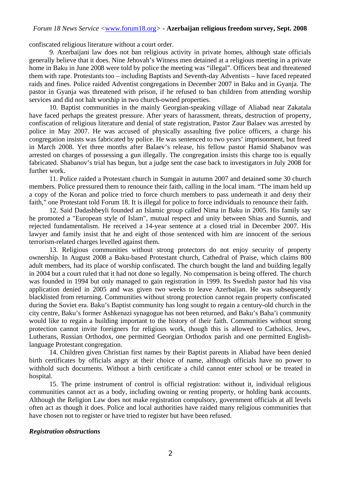confiscated religious literature without a court order.

 9. Azerbaijani law does not ban religious activity in private homes, although state officials generally believe that it does. Nine Jehovah's Witness men detained at a religious meeting in a private home in Baku in June 2008 were told by police the meeting was "illegal". Officers beat and threatened them with rape. Protestants too – including Baptists and Seventh-day Adventists – have faced repeated raids and fines. Police raided Adventist congregations in December 2007 in Baku and in Gyanja. The pastor in Gyanja was threatened with prison, if he refused to ban children from attending worship services and did not halt worship in two church-owned properties.

 10. Baptist communities in the mainly Georgian-speaking village of Aliabad near Zakatala have faced perhaps the greatest pressure. After years of harassment, threats, destruction of property, confiscation of religious literature and denial of state registration, Pastor Zaur Balaev was arrested by police in May 2007. He was accused of physically assaulting five police officers, a charge his congregation insists was fabricated by police. He was sentenced to two years' imprisonment, but freed in March 2008. Yet three months after Balaev's release, his fellow pastor Hamid Shabanov was arrested on charges of possessing a gun illegally. The congregation insists this charge too is equally fabricated. Shabanov's trial has begun, but a judge sent the case back to investigators in July 2008 for further work.

 11. Police raided a Protestant church in Sumgait in autumn 2007 and detained some 30 church members. Police pressured them to renounce their faith, calling in the local imam. "The imam held up a copy of the Koran and police tried to force church members to pass underneath it and deny their faith," one Protestant told Forum 18. It is illegal for police to force individuals to renounce their faith.

 12. Said Dadashbeyli founded an Islamic group called Nima in Baku in 2005. His family say he promoted a "European style of Islam", mutual respect and unity between Shias and Sunnis, and rejected fundamentalism. He received a 14-year sentence at a closed trial in December 2007. His lawyer and family insist that he and eight of those sentenced with him are innocent of the serious terrorism-related charges levelled against them.

 13. Religious communities without strong protectors do not enjoy security of property ownership. In August 2008 a Baku-based Protestant church, Cathedral of Praise, which claims 800 adult members, had its place of worship confiscated. The church bought the land and building legally in 2004 but a court ruled that it had not done so legally. No compensation is being offered. The church was founded in 1994 but only managed to gain registration in 1999. Its Swedish pastor had his visa application denied in 2005 and was given two weeks to leave Azerbaijan. He was subsequently blacklisted from returning. Communities without strong protection cannot regain property confiscated during the Soviet era. Baku's Baptist community has long sought to regain a century-old church in the city centre, Baku's former Ashkenazi synagogue has not been returned, and Baku's Baha'i community would like to regain a building important to the history of their faith. Communities without strong protection cannot invite foreigners for religious work, though this is allowed to Catholics, Jews, Lutherans, Russian Orthodox, one permitted Georgian Orthodox parish and one permitted Englishlanguage Protestant congregation.

 14. Children given Christian first names by their Baptist parents in Aliabad have been denied birth certificates by officials angry at their choice of name, although officials have no power to withhold such documents. Without a birth certificate a child cannot enter school or be treated in hospital.

 15. The prime instrument of control is official registration: without it, individual religious communities cannot act as a body, including owning or renting property, or holding bank accounts. Although the Religion Law does not make registration compulsory, government officials at all levels often act as though it does. Police and local authorities have raided many religious communities that have chosen not to register or have tried to register but have been refused.

### *Registration obstructions*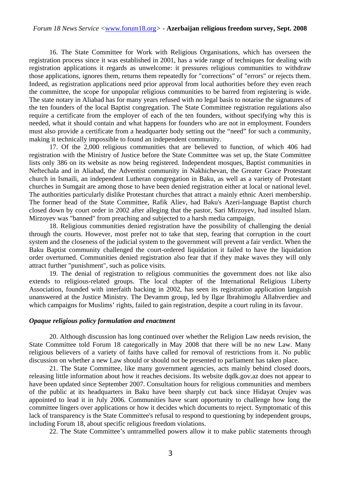16. The State Committee for Work with Religious Organisations, which has overseen the registration process since it was established in 2001, has a wide range of techniques for dealing with registration applications it regards as unwelcome: it pressures religious communities to withdraw those applications, ignores them, returns them repeatedly for "corrections" of "errors" or rejects them. Indeed, as registration applications need prior approval from local authorities before they even reach the committee, the scope for unpopular religious communities to be barred from registering is wide. The state notary in Aliabad has for many years refused with no legal basis to notarise the signatures of the ten founders of the local Baptist congregation. The State Committee registration regulations also require a certificate from the employer of each of the ten founders, without specifying why this is needed, what it should contain and what happens for founders who are not in employment. Founders must also provide a certificate from a headquarter body setting out the "need" for such a community, making it technically impossible to found an independent community.

 17. Of the 2,000 religious communities that are believed to function, of which 406 had registration with the Ministry of Justice before the State Committee was set up, the State Committee lists only 386 on its website as now being registered. Independent mosques, Baptist communities in Neftechala and in Aliabad, the Adventist community in Nakhichevan, the Greater Grace Protestant church in Ismaili, an independent Lutheran congregation in Baku, as well as a variety of Protestant churches in Sumgait are among those to have been denied registration either at local or national level. The authorities particularly dislike Protestant churches that attract a mainly ethnic Azeri membership. The former head of the State Committee, Rafik Aliev, had Baku's Azeri-language Baptist church closed down by court order in 2002 after alleging that the pastor, Sari Mirzoyev, had insulted Islam. Mirzoyev was "banned" from preaching and subjected to a harsh media campaign.

 18. Religious communities denied registration have the possibility of challenging the denial through the courts. However, most prefer not to take that step, fearing that corruption in the court system and the closeness of the judicial system to the government will prevent a fair verdict. When the Baku Baptist community challenged the court-ordered liquidation it failed to have the liquidation order overturned. Communities denied registration also fear that if they make waves they will only attract further "punishment", such as police visits.

 19. The denial of registration to religious communities the government does not like also extends to religious-related groups. The local chapter of the International Religious Liberty Association, founded with interfaith backing in 2002, has seen its registration application languish unanswered at the Justice Ministry. The Devamm group, led by Ilgar Ibrahimoglu Allahverdiev and which campaigns for Muslims' rights, failed to gain registration, despite a court ruling in its favour.

#### *Opaque religious policy formulation and enactment*

 20. Although discussion has long continued over whether the Religion Law needs revision, the State Committee told Forum 18 categorically in May 2008 that there will be no new Law. Many religious believers of a variety of faiths have called for removal of restrictions from it. No public discussion on whether a new Law should or should not be presented to parliament has taken place.

 21. The State Committee, like many government agencies, acts mainly behind closed doors, releasing little information about how it reaches decisions. Its website dqdk.gov.az does not appear to have been updated since September 2007. Consultation hours for religious communities and members of the public at its headquarters in Baku have been sharply cut back since Hidayat Orujev was appointed to lead it in July 2006. Communities have scant opportunity to challenge how long the committee lingers over applications or how it decides which documents to reject. Symptomatic of this lack of transparency is the State Committee's refusal to respond to questioning by independent groups, including Forum 18, about specific religious freedom violations.

22. The State Committee's untrammelled powers allow it to make public statements through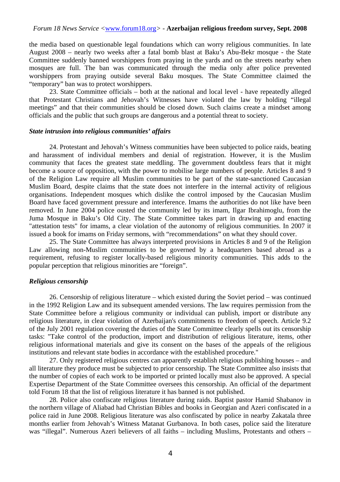the media based on questionable legal foundations which can worry religious communities. In late August 2008 – nearly two weeks after a fatal bomb blast at Baku's Abu-Bekr mosque - the State Committee suddenly banned worshippers from praying in the yards and on the streets nearby when mosques are full. The ban was communicated through the media only after police prevented worshippers from praying outside several Baku mosques. The State Committee claimed the "temporary" ban was to protect worshippers.

 23. State Committee officials – both at the national and local level - have repeatedly alleged that Protestant Christians and Jehovah's Witnesses have violated the law by holding "illegal meetings" and that their communities should be closed down. Such claims create a mindset among officials and the public that such groups are dangerous and a potential threat to society.

### *State intrusion into religious communities' affairs*

 24. Protestant and Jehovah's Witness communities have been subjected to police raids, beating and harassment of individual members and denial of registration. However, it is the Muslim community that faces the greatest state meddling. The government doubtless fears that it might become a source of opposition, with the power to mobilise large numbers of people. Articles 8 and 9 of the Religion Law require all Muslim communities to be part of the state-sanctioned Caucasian Muslim Board, despite claims that the state does not interfere in the internal activity of religious organisations. Independent mosques which dislike the control imposed by the Caucasian Muslim Board have faced government pressure and interference. Imams the authorities do not like have been removed. In June 2004 police ousted the community led by its imam, Ilgar Ibrahimoglu, from the Juma Mosque in Baku's Old City. The State Committee takes part in drawing up and enacting "attestation tests" for imams, a clear violation of the autonomy of religious communities. In 2007 it issued a book for imams on Friday sermons, with "recommendations" on what they should cover.

 25. The State Committee has always interpreted provisions in Articles 8 and 9 of the Religion Law allowing non-Muslim communities to be governed by a headquarters based abroad as a requirement, refusing to register locally-based religious minority communities. This adds to the popular perception that religious minorities are "foreign".

### *Religious censorship*

 26. Censorship of religious literature – which existed during the Soviet period – was continued in the 1992 Religion Law and its subsequent amended versions. The law requires permission from the State Committee before a religious community or individual can publish, import or distribute any religious literature, in clear violation of Azerbaijan's commitments to freedom of speech. Article 9.2 of the July 2001 regulation covering the duties of the State Committee clearly spells out its censorship tasks: "Take control of the production, import and distribution of religious literature, items, other religious informational materials and give its consent on the bases of the appeals of the religious institutions and relevant state bodies in accordance with the established procedure."

 27. Only registered religious centres can apparently establish religious publishing houses – and all literature they produce must be subjected to prior censorship. The State Committee also insists that the number of copies of each work to be imported or printed locally must also be approved. A special Expertise Department of the State Committee oversees this censorship. An official of the department told Forum 18 that the list of religious literature it has banned is not published.

 28. Police also confiscate religious literature during raids. Baptist pastor Hamid Shabanov in the northern village of Aliabad had Christian Bibles and books in Georgian and Azeri confiscated in a police raid in June 2008. Religious literature was also confiscated by police in nearby Zakatala three months earlier from Jehovah's Witness Matanat Gurbanova. In both cases, police said the literature was "illegal". Numerous Azeri believers of all faiths – including Muslims, Protestants and others –